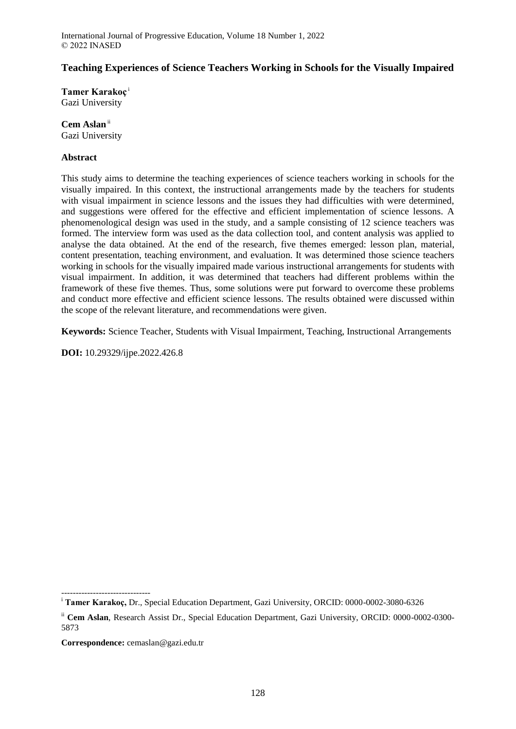# **Teaching Experiences of Science Teachers Working in Schools for the Visually Impaired**

**Tamer Karakoç** <sup>i</sup> Gazi University

**Cem Aslan**ii Gazi University

### **Abstract**

This study aims to determine the teaching experiences of science teachers working in schools for the visually impaired. In this context, the instructional arrangements made by the teachers for students with visual impairment in science lessons and the issues they had difficulties with were determined, and suggestions were offered for the effective and efficient implementation of science lessons. A phenomenological design was used in the study, and a sample consisting of 12 science teachers was formed. The interview form was used as the data collection tool, and content analysis was applied to analyse the data obtained. At the end of the research, five themes emerged: lesson plan, material, content presentation, teaching environment, and evaluation. It was determined those science teachers working in schools for the visually impaired made various instructional arrangements for students with visual impairment. In addition, it was determined that teachers had different problems within the framework of these five themes. Thus, some solutions were put forward to overcome these problems and conduct more effective and efficient science lessons. The results obtained were discussed within the scope of the relevant literature, and recommendations were given.

**Keywords:** Science Teacher, Students with Visual Impairment, Teaching, Instructional Arrangements

**DOI:** 10.29329/ijpe.2022.426.8

 $-$ 

<sup>i</sup> **Tamer Karakoç,** Dr., Special Education Department, Gazi University, ORCID: 0000-0002-3080-6326

ii **Cem Aslan**, Research Assist Dr., Special Education Department, Gazi University, ORCID: 0000-0002-0300- 5873

**Correspondence:** cemaslan@gazi.edu.tr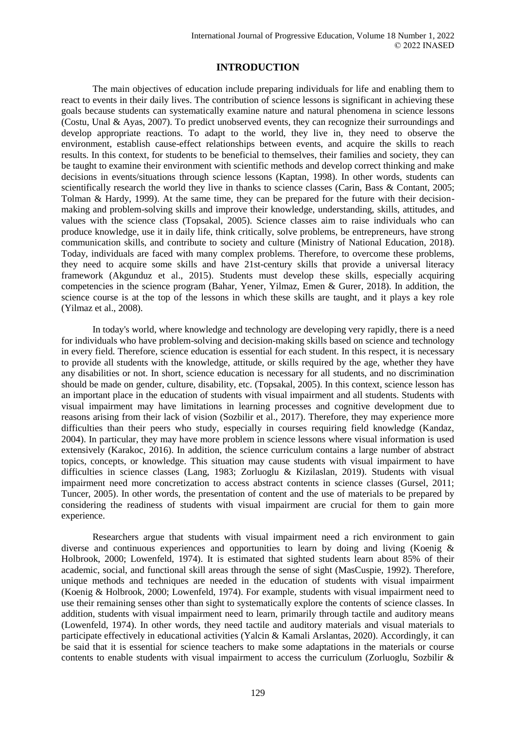## **INTRODUCTION**

The main objectives of education include preparing individuals for life and enabling them to react to events in their daily lives. The contribution of science lessons is significant in achieving these goals because students can systematically examine nature and natural phenomena in science lessons (Costu, Unal & Ayas, 2007). To predict unobserved events, they can recognize their surroundings and develop appropriate reactions. To adapt to the world, they live in, they need to observe the environment, establish cause-effect relationships between events, and acquire the skills to reach results. In this context, for students to be beneficial to themselves, their families and society, they can be taught to examine their environment with scientific methods and develop correct thinking and make decisions in events/situations through science lessons (Kaptan, 1998). In other words, students can scientifically research the world they live in thanks to science classes (Carin, Bass & Contant, 2005; Tolman & Hardy, 1999). At the same time, they can be prepared for the future with their decisionmaking and problem-solving skills and improve their knowledge, understanding, skills, attitudes, and values with the science class (Topsakal, 2005). Science classes aim to raise individuals who can produce knowledge, use it in daily life, think critically, solve problems, be entrepreneurs, have strong communication skills, and contribute to society and culture (Ministry of National Education, 2018). Today, individuals are faced with many complex problems. Therefore, to overcome these problems, they need to acquire some skills and have 21st-century skills that provide a universal literacy framework (Akgunduz et al., 2015). Students must develop these skills, especially acquiring competencies in the science program (Bahar, Yener, Yilmaz, Emen & Gurer, 2018). In addition, the science course is at the top of the lessons in which these skills are taught, and it plays a key role (Yilmaz et al., 2008).

In today's world, where knowledge and technology are developing very rapidly, there is a need for individuals who have problem-solving and decision-making skills based on science and technology in every field. Therefore, science education is essential for each student. In this respect, it is necessary to provide all students with the knowledge, attitude, or skills required by the age, whether they have any disabilities or not. In short, science education is necessary for all students, and no discrimination should be made on gender, culture, disability, etc. (Topsakal, 2005). In this context, science lesson has an important place in the education of students with visual impairment and all students. Students with visual impairment may have limitations in learning processes and cognitive development due to reasons arising from their lack of vision (Sozbilir et al., 2017). Therefore, they may experience more difficulties than their peers who study, especially in courses requiring field knowledge (Kandaz, 2004). In particular, they may have more problem in science lessons where visual information is used extensively (Karakoc, 2016). In addition, the science curriculum contains a large number of abstract topics, concepts, or knowledge. This situation may cause students with visual impairment to have difficulties in science classes (Lang, 1983; Zorluoglu & Kizilaslan, 2019). Students with visual impairment need more concretization to access abstract contents in science classes (Gursel, 2011; Tuncer, 2005). In other words, the presentation of content and the use of materials to be prepared by considering the readiness of students with visual impairment are crucial for them to gain more experience.

Researchers argue that students with visual impairment need a rich environment to gain diverse and continuous experiences and opportunities to learn by doing and living (Koenig & Holbrook, 2000; Lowenfeld, 1974). It is estimated that sighted students learn about 85% of their academic, social, and functional skill areas through the sense of sight (MasCuspie, 1992). Therefore, unique methods and techniques are needed in the education of students with visual impairment (Koenig & Holbrook, 2000; Lowenfeld, 1974). For example, students with visual impairment need to use their remaining senses other than sight to systematically explore the contents of science classes. In addition, students with visual impairment need to learn, primarily through tactile and auditory means (Lowenfeld, 1974). In other words, they need tactile and auditory materials and visual materials to participate effectively in educational activities (Yalcin & Kamali Arslantas, 2020). Accordingly, it can be said that it is essential for science teachers to make some adaptations in the materials or course contents to enable students with visual impairment to access the curriculum (Zorluoglu, Sozbilir &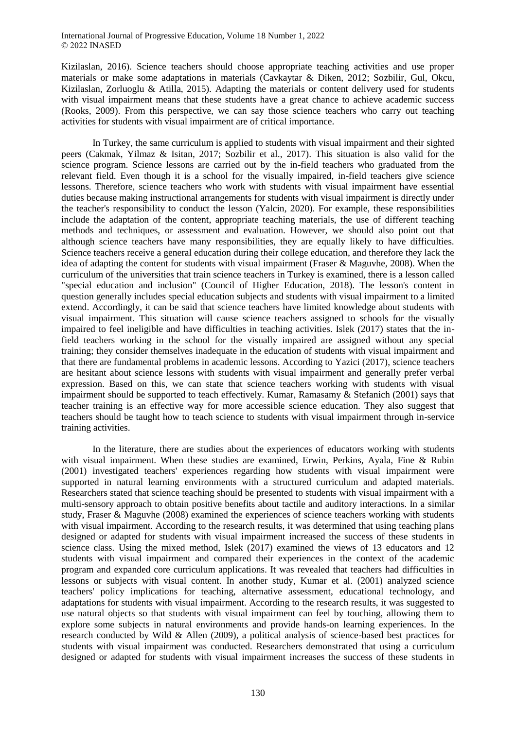Kizilaslan, 2016). Science teachers should choose appropriate teaching activities and use proper materials or make some adaptations in materials (Cavkaytar & Diken, 2012; Sozbilir, Gul, Okcu, Kizilaslan, Zorluoglu & Atilla, 2015). Adapting the materials or content delivery used for students with visual impairment means that these students have a great chance to achieve academic success (Rooks, 2009). From this perspective, we can say those science teachers who carry out teaching activities for students with visual impairment are of critical importance.

In Turkey, the same curriculum is applied to students with visual impairment and their sighted peers (Cakmak, Yilmaz & Isitan, 2017; Sozbilir et al., 2017). This situation is also valid for the science program. Science lessons are carried out by the in-field teachers who graduated from the relevant field. Even though it is a school for the visually impaired, in-field teachers give science lessons. Therefore, science teachers who work with students with visual impairment have essential duties because making instructional arrangements for students with visual impairment is directly under the teacher's responsibility to conduct the lesson (Yalcin, 2020). For example, these responsibilities include the adaptation of the content, appropriate teaching materials, the use of different teaching methods and techniques, or assessment and evaluation. However, we should also point out that although science teachers have many responsibilities, they are equally likely to have difficulties. Science teachers receive a general education during their college education, and therefore they lack the idea of adapting the content for students with visual impairment (Fraser & Maguvhe, 2008). When the curriculum of the universities that train science teachers in Turkey is examined, there is a lesson called "special education and inclusion" (Council of Higher Education, 2018). The lesson's content in question generally includes special education subjects and students with visual impairment to a limited extend. Accordingly, it can be said that science teachers have limited knowledge about students with visual impairment. This situation will cause science teachers assigned to schools for the visually impaired to feel ineligible and have difficulties in teaching activities. Islek (2017) states that the infield teachers working in the school for the visually impaired are assigned without any special training; they consider themselves inadequate in the education of students with visual impairment and that there are fundamental problems in academic lessons. According to Yazici (2017), science teachers are hesitant about science lessons with students with visual impairment and generally prefer verbal expression. Based on this, we can state that science teachers working with students with visual impairment should be supported to teach effectively. Kumar, Ramasamy & Stefanich (2001) says that teacher training is an effective way for more accessible science education. They also suggest that teachers should be taught how to teach science to students with visual impairment through in-service training activities.

In the literature, there are studies about the experiences of educators working with students with visual impairment. When these studies are examined, Erwin, Perkins, Ayala, Fine & Rubin (2001) investigated teachers' experiences regarding how students with visual impairment were supported in natural learning environments with a structured curriculum and adapted materials. Researchers stated that science teaching should be presented to students with visual impairment with a multi-sensory approach to obtain positive benefits about tactile and auditory interactions. In a similar study, Fraser & Maguvhe (2008) examined the experiences of science teachers working with students with visual impairment. According to the research results, it was determined that using teaching plans designed or adapted for students with visual impairment increased the success of these students in science class. Using the mixed method, Islek (2017) examined the views of 13 educators and 12 students with visual impairment and compared their experiences in the context of the academic program and expanded core curriculum applications. It was revealed that teachers had difficulties in lessons or subjects with visual content. In another study, Kumar et al. (2001) analyzed science teachers' policy implications for teaching, alternative assessment, educational technology, and adaptations for students with visual impairment. According to the research results, it was suggested to use natural objects so that students with visual impairment can feel by touching, allowing them to explore some subjects in natural environments and provide hands-on learning experiences. In the research conducted by Wild & Allen (2009), a political analysis of science-based best practices for students with visual impairment was conducted. Researchers demonstrated that using a curriculum designed or adapted for students with visual impairment increases the success of these students in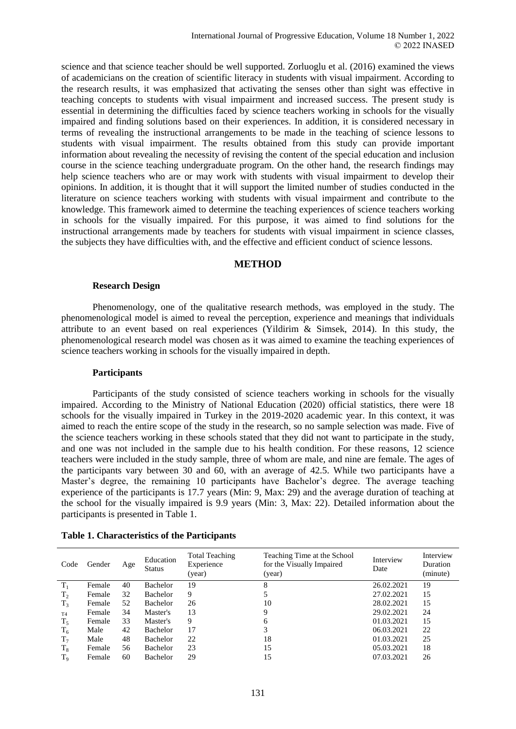science and that science teacher should be well supported. Zorluoglu et al. (2016) examined the views of academicians on the creation of scientific literacy in students with visual impairment. According to the research results, it was emphasized that activating the senses other than sight was effective in teaching concepts to students with visual impairment and increased success. The present study is essential in determining the difficulties faced by science teachers working in schools for the visually impaired and finding solutions based on their experiences. In addition, it is considered necessary in terms of revealing the instructional arrangements to be made in the teaching of science lessons to students with visual impairment. The results obtained from this study can provide important information about revealing the necessity of revising the content of the special education and inclusion course in the science teaching undergraduate program. On the other hand, the research findings may help science teachers who are or may work with students with visual impairment to develop their opinions. In addition, it is thought that it will support the limited number of studies conducted in the literature on science teachers working with students with visual impairment and contribute to the knowledge. This framework aimed to determine the teaching experiences of science teachers working in schools for the visually impaired. For this purpose, it was aimed to find solutions for the instructional arrangements made by teachers for students with visual impairment in science classes, the subjects they have difficulties with, and the effective and efficient conduct of science lessons.

### **METHOD**

#### **Research Design**

Phenomenology, one of the qualitative research methods, was employed in the study. The phenomenological model is aimed to reveal the perception, experience and meanings that individuals attribute to an event based on real experiences (Yildirim  $\&$  Simsek, 2014). In this study, the phenomenological research model was chosen as it was aimed to examine the teaching experiences of science teachers working in schools for the visually impaired in depth.

#### **Participants**

Participants of the study consisted of science teachers working in schools for the visually impaired. According to the Ministry of National Education (2020) official statistics, there were 18 schools for the visually impaired in Turkey in the 2019-2020 academic year. In this context, it was aimed to reach the entire scope of the study in the research, so no sample selection was made. Five of the science teachers working in these schools stated that they did not want to participate in the study, and one was not included in the sample due to his health condition. For these reasons, 12 science teachers were included in the study sample, three of whom are male, and nine are female. The ages of the participants vary between 30 and 60, with an average of 42.5. While two participants have a Master's degree, the remaining 10 participants have Bachelor's degree. The average teaching experience of the participants is 17.7 years (Min: 9, Max: 29) and the average duration of teaching at the school for the visually impaired is 9.9 years (Min: 3, Max: 22). Detailed information about the participants is presented in Table 1.

| Code           | Gender | Age | Education<br><b>Status</b> | <b>Total Teaching</b><br>Experience<br>(year) | Teaching Time at the School<br>for the Visually Impaired<br>(year) | Interview<br>Date | Interview<br>Duration<br>(minute) |
|----------------|--------|-----|----------------------------|-----------------------------------------------|--------------------------------------------------------------------|-------------------|-----------------------------------|
| $T_1$          | Female | 40  | Bachelor                   | 19                                            | 8                                                                  | 26.02.2021        | 19                                |
| T <sub>2</sub> | Female | 32  | Bachelor                   | 9                                             |                                                                    | 27.02.2021        | 15                                |
| $T_3$          | Female | 52  | <b>Bachelor</b>            | 26                                            | 10                                                                 | 28.02.2021        | 15                                |
| T <sub>4</sub> | Female | 34  | Master's                   | 13                                            | 9                                                                  | 29.02.2021        | 24                                |
| $T_5$          | Female | 33  | Master's                   | 9                                             | 6                                                                  | 01.03.2021        | 15                                |
| $T_6$          | Male   | 42  | <b>Bachelor</b>            | 17                                            | 3                                                                  | 06.03.2021        | 22                                |
| $T_7$          | Male   | 48  | <b>Bachelor</b>            | 22                                            | 18                                                                 | 01.03.2021        | 25                                |
| $T_8$          | Female | 56  | Bachelor                   | 23                                            | 15                                                                 | 05.03.2021        | 18                                |
| T <sub>9</sub> | Female | 60  | Bachelor                   | 29                                            | 15                                                                 | 07.03.2021        | 26                                |

#### **Table 1. Characteristics of the Participants**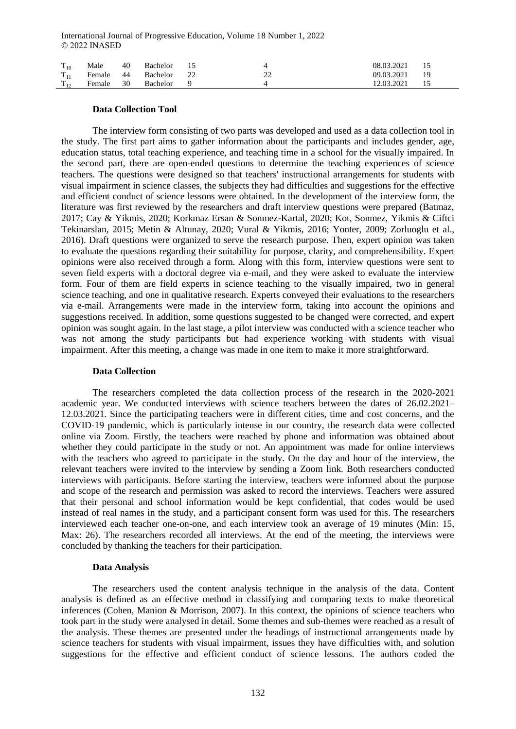| $\rm T_{10}$ | Male   | 40   | Bachelor |   | 08.03.2021 |    |
|--------------|--------|------|----------|---|------------|----|
| $T_{11}$     | Female | - 44 | Bachelor | ∸ | 09.03.2021 | 19 |
| $T_{12}$     | Female | 30   | Bachelor |   | 12.03.2021 |    |

### **Data Collection Tool**

The interview form consisting of two parts was developed and used as a data collection tool in the study. The first part aims to gather information about the participants and includes gender, age, education status, total teaching experience, and teaching time in a school for the visually impaired. In the second part, there are open-ended questions to determine the teaching experiences of science teachers. The questions were designed so that teachers' instructional arrangements for students with visual impairment in science classes, the subjects they had difficulties and suggestions for the effective and efficient conduct of science lessons were obtained. In the development of the interview form, the literature was first reviewed by the researchers and draft interview questions were prepared (Batmaz, 2017; Cay & Yikmis, 2020; Korkmaz Ersan & Sonmez-Kartal, 2020; Kot, Sonmez, Yikmis & Ciftci Tekinarslan, 2015; Metin & Altunay, 2020; Vural & Yikmis, 2016; Yonter, 2009; Zorluoglu et al., 2016). Draft questions were organized to serve the research purpose. Then, expert opinion was taken to evaluate the questions regarding their suitability for purpose, clarity, and comprehensibility. Expert opinions were also received through a form. Along with this form, interview questions were sent to seven field experts with a doctoral degree via e-mail, and they were asked to evaluate the interview form. Four of them are field experts in science teaching to the visually impaired, two in general science teaching, and one in qualitative research. Experts conveyed their evaluations to the researchers via e-mail. Arrangements were made in the interview form, taking into account the opinions and suggestions received. In addition, some questions suggested to be changed were corrected, and expert opinion was sought again. In the last stage, a pilot interview was conducted with a science teacher who was not among the study participants but had experience working with students with visual impairment. After this meeting, a change was made in one item to make it more straightforward.

#### **Data Collection**

The researchers completed the data collection process of the research in the 2020-2021 academic year. We conducted interviews with science teachers between the dates of 26.02.2021– 12.03.2021. Since the participating teachers were in different cities, time and cost concerns, and the COVID-19 pandemic, which is particularly intense in our country, the research data were collected online via Zoom. Firstly, the teachers were reached by phone and information was obtained about whether they could participate in the study or not. An appointment was made for online interviews with the teachers who agreed to participate in the study. On the day and hour of the interview, the relevant teachers were invited to the interview by sending a Zoom link. Both researchers conducted interviews with participants. Before starting the interview, teachers were informed about the purpose and scope of the research and permission was asked to record the interviews. Teachers were assured that their personal and school information would be kept confidential, that codes would be used instead of real names in the study, and a participant consent form was used for this. The researchers interviewed each teacher one-on-one, and each interview took an average of 19 minutes (Min: 15, Max: 26). The researchers recorded all interviews. At the end of the meeting, the interviews were concluded by thanking the teachers for their participation.

### **Data Analysis**

The researchers used the content analysis technique in the analysis of the data. Content analysis is defined as an effective method in classifying and comparing texts to make theoretical inferences (Cohen, Manion & Morrison, 2007). In this context, the opinions of science teachers who took part in the study were analysed in detail. Some themes and sub-themes were reached as a result of the analysis. These themes are presented under the headings of instructional arrangements made by science teachers for students with visual impairment, issues they have difficulties with, and solution suggestions for the effective and efficient conduct of science lessons. The authors coded the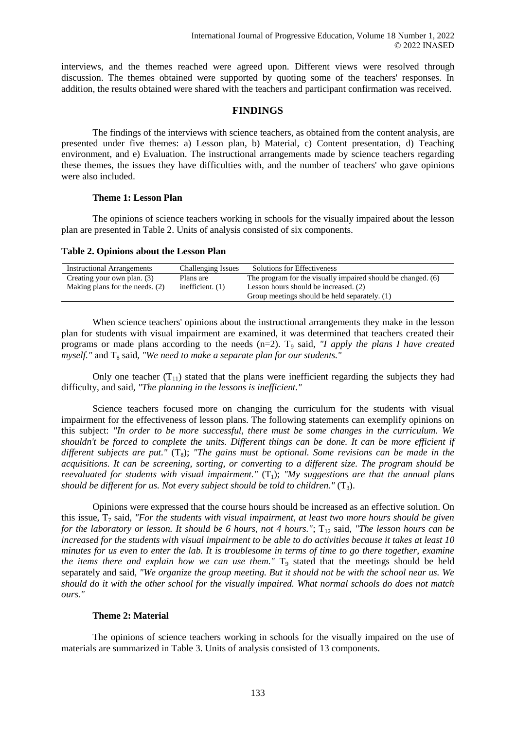interviews, and the themes reached were agreed upon. Different views were resolved through discussion. The themes obtained were supported by quoting some of the teachers' responses. In addition, the results obtained were shared with the teachers and participant confirmation was received.

### **FINDINGS**

The findings of the interviews with science teachers, as obtained from the content analysis, are presented under five themes: a) Lesson plan, b) Material, c) Content presentation, d) Teaching environment, and e) Evaluation. The instructional arrangements made by science teachers regarding these themes, the issues they have difficulties with, and the number of teachers' who gave opinions were also included.

### **Theme 1: Lesson Plan**

The opinions of science teachers working in schools for the visually impaired about the lesson plan are presented in Table 2. Units of analysis consisted of six components.

**Table 2. Opinions about the Lesson Plan**

| <b>Instructional Arrangements</b> | Challenging Issues | Solutions for Effectiveness                                  |
|-----------------------------------|--------------------|--------------------------------------------------------------|
| Creating your own plan. (3)       | Plans are          | The program for the visually impaired should be changed. (6) |
| Making plans for the needs. (2)   | inefficient. $(1)$ | Lesson hours should be increased. (2)                        |
|                                   |                    | Group meetings should be held separately. (1)                |

When science teachers' opinions about the instructional arrangements they make in the lesson plan for students with visual impairment are examined, it was determined that teachers created their programs or made plans according to the needs (n=2). T<sub>9</sub> said, *"I apply the plans I have created myself.*" and T<sub>8</sub> said, "We need to make a separate plan for our students."

Only one teacher  $(T_{11})$  stated that the plans were inefficient regarding the subjects they had difficulty, and said, *"The planning in the lessons is inefficient."*

Science teachers focused more on changing the curriculum for the students with visual impairment for the effectiveness of lesson plans. The following statements can exemplify opinions on this subject: *"In order to be more successful, there must be some changes in the curriculum. We shouldn't be forced to complete the units. Different things can be done. It can be more efficient if different subjects are put."* ( $T_8$ ); *"The gains must be optional. Some revisions can be made in the acquisitions. It can be screening, sorting, or converting to a different size. The program should be reevaluated for students with visual impairment."*  $(T_1)$ ; "My suggestions are that the annual plans *should be different for us. Not every subject should be told to children."*  $(T_3)$ .

Opinions were expressed that the course hours should be increased as an effective solution. On this issue,  $T<sub>7</sub>$  said, *"For the students with visual impairment, at least two more hours should be given for the laboratory or lesson. It should be 6 hours, not 4 hours."*; T<sub>12</sub> said, "The lesson hours can be *increased for the students with visual impairment to be able to do activities because it takes at least 10 minutes for us even to enter the lab. It is troublesome in terms of time to go there together, examine the items there and explain how we can use them."* T<sub>9</sub> stated that the meetings should be held separately and said, *"We organize the group meeting. But it should not be with the school near us. We should do it with the other school for the visually impaired. What normal schools do does not match ours."*

### **Theme 2: Material**

The opinions of science teachers working in schools for the visually impaired on the use of materials are summarized in Table 3. Units of analysis consisted of 13 components.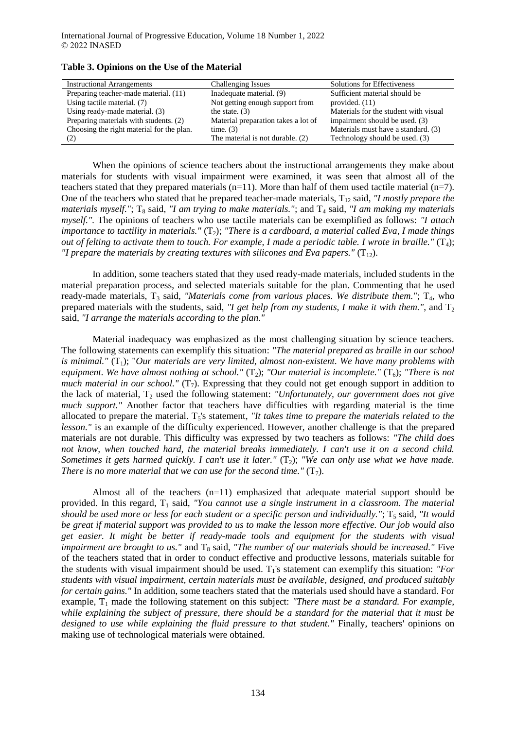| <b>Instructional Arrangements</b>         | Challenging Issues                  | Solutions for Effectiveness           |
|-------------------------------------------|-------------------------------------|---------------------------------------|
| Preparing teacher-made material. (11)     | Inadequate material. (9)            | Sufficient material should be         |
| Using tactile material. (7)               | Not getting enough support from     | provided. $(11)$                      |
| Using ready-made material. (3)            | the state. $(3)$                    | Materials for the student with visual |
| Preparing materials with students. (2)    | Material preparation takes a lot of | impairment should be used. (3)        |
| Choosing the right material for the plan. | time. $(3)$                         | Materials must have a standard. (3)   |
| (2)                                       | The material is not durable. (2)    | Technology should be used. (3)        |

**Table 3. Opinions on the Use of the Material**

When the opinions of science teachers about the instructional arrangements they make about materials for students with visual impairment were examined, it was seen that almost all of the teachers stated that they prepared materials  $(n=11)$ . More than half of them used tactile material  $(n=7)$ . One of the teachers who stated that he prepared teacher-made materials, T<sub>12</sub> said, *"I mostly prepare the materials myself."*; T<sub>8</sub> said, "I am trying to make materials."; and T<sub>4</sub> said, "I am making my materials *myself.".* The opinions of teachers who use tactile materials can be exemplified as follows: *"I attach importance to tactility in materials."* (T<sub>2</sub>); "There is a cardboard, a material called Eva, I made things *out of felting to activate them to touch. For example, I made a periodic table. I wrote in braille."*  $(T_4)$ ; *"I prepare the materials by creating textures with silicones and Eva papers."* ( $T_{12}$ ).

In addition, some teachers stated that they used ready-made materials, included students in the material preparation process, and selected materials suitable for the plan. Commenting that he used ready-made materials, T<sub>3</sub> said, *"Materials come from various places. We distribute them."*; T<sub>4</sub>, who prepared materials with the students, said, *"I get help from my students, I make it with them."*, and  $T_2$ said, *"I arrange the materials according to the plan."*

Material inadequacy was emphasized as the most challenging situation by science teachers. The following statements can exemplify this situation: *"The material prepared as braille in our school is minimal."*  $(T_1)$ ; "Our materials are very limited, almost non-existent. We have many problems with *equipment. We have almost nothing at school."* ( $T_2$ ); "Our material is incomplete." ( $T_6$ ); "There is not *much material in our school."* ( $T_7$ ). Expressing that they could not get enough support in addition to the lack of material, T<sub>2</sub> used the following statement: *"Unfortunately, our government does not give much support."* Another factor that teachers have difficulties with regarding material is the time allocated to prepare the material. T<sub>5</sub>'s statement, *"It takes time to prepare the materials related to the lesson.*" is an example of the difficulty experienced. However, another challenge is that the prepared materials are not durable. This difficulty was expressed by two teachers as follows: *"The child does not know, when touched hard, the material breaks immediately. I can't use it on a second child. Sometimes it gets harmed quickly. I can't use it later."* (T<sub>2</sub>); *"We can only use what we have made. There is no more material that we can use for the second time."*  $(T_7)$ *.* 

Almost all of the teachers  $(n=11)$  emphasized that adequate material support should be provided. In this regard,  $T_1$  said, *"You cannot use a single instrument in a classroom. The material should be used more or less for each student or a specific person and individually."*; T<sub>5</sub> said, "It would *be great if material support was provided to us to make the lesson more effective. Our job would also get easier. It might be better if ready-made tools and equipment for the students with visual impairment are brought to us."* and T<sub>8</sub> said, "The number of our materials should be increased." Five of the teachers stated that in order to conduct effective and productive lessons, materials suitable for the students with visual impairment should be used.  $T_1$ 's statement can exemplify this situation: *"For*" *students with visual impairment, certain materials must be available, designed, and produced suitably for certain gains."* In addition, some teachers stated that the materials used should have a standard. For example, T<sub>1</sub> made the following statement on this subject: *"There must be a standard. For example, while explaining the subject of pressure, there should be a standard for the material that it must be designed to use while explaining the fluid pressure to that student."* Finally, teachers' opinions on making use of technological materials were obtained.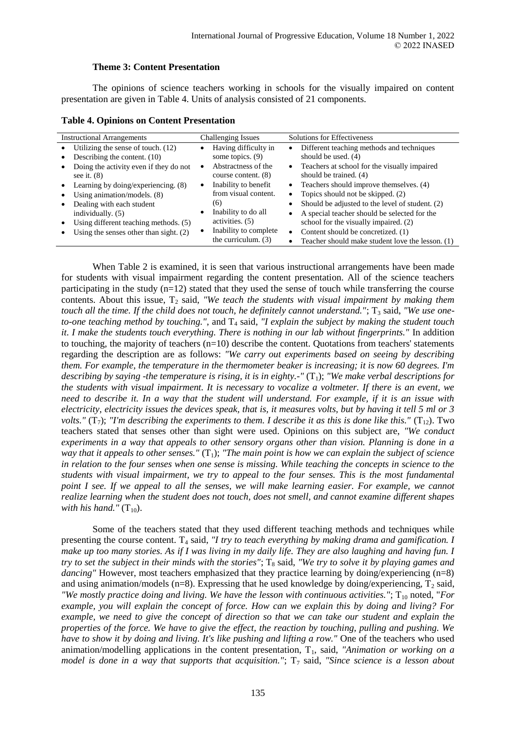## **Theme 3: Content Presentation**

The opinions of science teachers working in schools for the visually impaired on content presentation are given in Table 4. Units of analysis consisted of 21 components.

| <b>Instructional Arrangements</b>                | <b>Challenging Issues</b>         | <b>Solutions for Effectiveness</b>                            |  |
|--------------------------------------------------|-----------------------------------|---------------------------------------------------------------|--|
| Utilizing the sense of touch. $(12)$             | Having difficulty in              | Different teaching methods and techniques<br>$\bullet$        |  |
| Describing the content. (10)                     | some topics. (9)                  | should be used. $(4)$                                         |  |
| Doing the activity even if they do not           | Abstractness of the               | • Teachers at school for the visually impaired                |  |
| see it. $(8)$                                    | course content. (8)               | should be trained. (4)                                        |  |
| Learning by doing/experiencing. (8)<br>$\bullet$ | Inability to benefit<br>$\bullet$ | • Teachers should improve themselves. $(4)$                   |  |
| Using animation/models. $(8)$                    | from visual content.              | • Topics should not be skipped. $(2)$                         |  |
| Dealing with each student                        | (6)                               | Should be adjusted to the level of student. (2)<br>٠          |  |
| individually. (5)                                | Inability to do all               | A special teacher should be selected for the<br>٠             |  |
| Using different teaching methods. (5)            | activities. (5)                   | school for the visually impaired. (2)                         |  |
| Using the senses other than sight. $(2)$         | Inability to complete             | Content should be concretized. (1)<br>$\bullet$               |  |
|                                                  | the curriculum. (3)               | Teacher should make student love the lesson. (1)<br>$\bullet$ |  |

When Table 2 is examined, it is seen that various instructional arrangements have been made for students with visual impairment regarding the content presentation. All of the science teachers participating in the study (n=12) stated that they used the sense of touch while transferring the course contents. About this issue, T<sub>2</sub> said, "We teach the students with visual impairment by making them *touch all the time. If the child does not touch, he definitely cannot understand."*; T<sub>3</sub> said, "We use one*to-one teaching method by touching."*, and  $T_4$  said, "*I explain the subject by making the student touch it. I make the students touch everything. There is nothing in our lab without fingerprints."* In addition to touching, the majority of teachers  $(n=10)$  describe the content. Quotations from teachers' statements regarding the description are as follows: *"We carry out experiments based on seeing by describing them. For example, the temperature in the thermometer beaker is increasing; it is now 60 degrees. I'm describing by saying -the temperature is rising, it is in eighty.-"* (T<sub>1</sub>); *"We make verbal descriptions for the students with visual impairment. It is necessary to vocalize a voltmeter. If there is an event, we need to describe it. In a way that the student will understand. For example, if it is an issue with electricity, electricity issues the devices speak, that is, it measures volts, but by having it tell 5 ml or 3 volts."* ( $T_7$ ); *"I'm describing the experiments to them. I describe it as this is done like this."* ( $T_{12}$ ). Two teachers stated that senses other than sight were used. Opinions on this subject are, *"We conduct experiments in a way that appeals to other sensory organs other than vision. Planning is done in a way that it appeals to other senses.*"  $(T_1)$ ; "The main point is how we can explain the subject of science *in relation to the four senses when one sense is missing. While teaching the concepts in science to the students with visual impairment, we try to appeal to the four senses. This is the most fundamental point I see. If we appeal to all the senses, we will make learning easier. For example, we cannot realize learning when the student does not touch, does not smell, and cannot examine different shapes with his hand."*  $(T_{10})$ .

Some of the teachers stated that they used different teaching methods and techniques while presenting the course content. T<sub>4</sub> said, *"I try to teach everything by making drama and gamification. I make up too many stories. As if I was living in my daily life. They are also laughing and having fun. I try to set the subject in their minds with the stories"*;  $T_8$  said, *"We try to solve it by playing games and dancing*" However, most teachers emphasized that they practice learning by doing/experiencing (n=8) and using animation/models (n=8). Expressing that he used knowledge by doing/experiencing,  $T_2$  said, *"We mostly practice doing and living. We have the lesson with continuous activities."*;  $T_{10}$  noted, "*For example, you will explain the concept of force. How can we explain this by doing and living? For example, we need to give the concept of direction so that we can take our student and explain the properties of the force. We have to give the effect, the reaction by touching, pulling and pushing. We have to show it by doing and living. It's like pushing and lifting a row."* One of the teachers who used animation/modelling applications in the content presentation, T<sub>1</sub>, said, *"Animation or working on a model is done in a way that supports that acquisition."*;  $T_7$  said, "Since science is a lesson about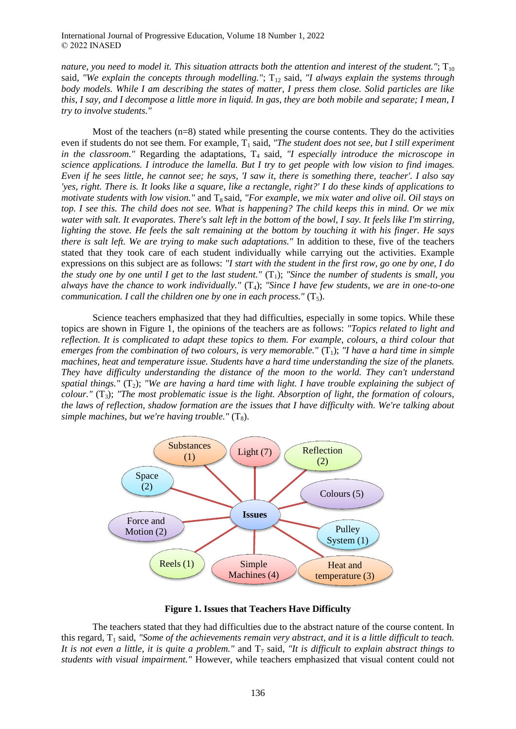*nature, you need to model it. This situation attracts both the attention and interest of the student."*;  $T_{10}$ said, "We explain the concepts through modelling."; T<sub>12</sub> said, "I always explain the systems through *body models. While I am describing the states of matter, I press them close. Solid particles are like this, I say, and I decompose a little more in liquid. In gas, they are both mobile and separate; I mean, I try to involve students."*

Most of the teachers  $(n=8)$  stated while presenting the course contents. They do the activities even if students do not see them. For example, T<sub>1</sub> said, "The student does not see, but I still experiment *in the classroom."* Regarding the adaptations, T<sub>4</sub> said, "I especially introduce the microscope in *science applications. I introduce the lamella. But I try to get people with low vision to find images. Even if he sees little, he cannot see; he says, 'I saw it, there is something there, teacher'. I also say 'yes, right. There is. It looks like a square, like a rectangle, right?' I do these kinds of applications to motivate students with low vision."* and T<sub>8</sub> said, "For example, we mix water and olive oil. Oil stays on *top. I see this. The child does not see. What is happening? The child keeps this in mind. Or we mix water with salt. It evaporates. There's salt left in the bottom of the bowl, I say. It feels like I'm stirring, lighting the stove. He feels the salt remaining at the bottom by touching it with his finger. He says there is salt left. We are trying to make such adaptations."* In addition to these, five of the teachers stated that they took care of each student individually while carrying out the activities. Example expressions on this subject are as follows: *"I start with the student in the first row, go one by one, I do the study one by one until I get to the last student."*  $(T_1)$ ; *"Since the number of students is small, you always have the chance to work individually."* (T4); *"Since I have few students, we are in one-to-one communication. I call the children one by one in each process."*  $(T_5)$ .

Science teachers emphasized that they had difficulties, especially in some topics. While these topics are shown in Figure 1, the opinions of the teachers are as follows: *"Topics related to light and reflection. It is complicated to adapt these topics to them. For example, colours, a third colour that emerges from the combination of two colours, is very memorable."*  $(T_1)$ ; "*I have a hard time in simple machines, heat and temperature issue. Students have a hard time understanding the size of the planets. They have difficulty understanding the distance of the moon to the world. They can't understand*  spatial things."  $(T_2)$ ; "We are having a hard time with light. I have trouble explaining the subject of *colour."* (T3); *"The most problematic issue is the light. Absorption of light, the formation of colours, the laws of reflection, shadow formation are the issues that I have difficulty with. We're talking about simple machines, but we're having trouble."*  $(T_8)$ .



**Figure 1. Issues that Teachers Have Difficulty**

The teachers stated that they had difficulties due to the abstract nature of the course content. In this regard,  $T_1$  said, *"Some of the achievements remain very abstract, and it is a little difficult to teach.* It is not even a little, it is quite a problem." and  $T<sub>7</sub>$  said, "It is difficult to explain abstract things to *students with visual impairment."* However, while teachers emphasized that visual content could not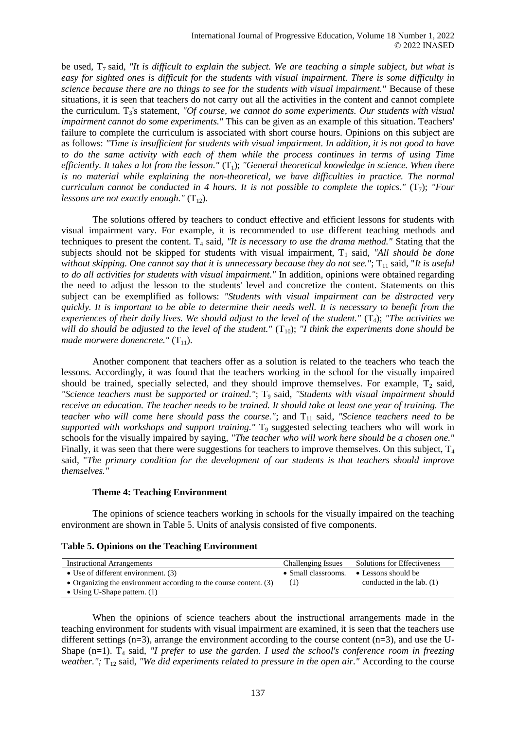be used,  $T_7$  said, *"It is difficult to explain the subject. We are teaching a simple subject, but what is easy for sighted ones is difficult for the students with visual impairment. There is some difficulty in science because there are no things to see for the students with visual impairment."* Because of these situations, it is seen that teachers do not carry out all the activities in the content and cannot complete the curriculum. T<sub>3</sub>'s statement, "Of course, we cannot do some experiments. Our students with visual *impairment cannot do some experiments."* This can be given as an example of this situation. Teachers' failure to complete the curriculum is associated with short course hours. Opinions on this subject are as follows: *"Time is insufficient for students with visual impairment. In addition, it is not good to have to do the same activity with each of them while the process continues in terms of using Time efficiently. It takes a lot from the lesson."* (T<sub>1</sub>); "General theoretical knowledge in science. When there is no material while explaining the non-theoretical, we have difficulties in practice. The normal *curriculum cannot be conducted in 4 hours. It is not possible to complete the topics."* (T<sub>7</sub>): "Four *lessons are not exactly enough."*  $(T_{12})$ .

The solutions offered by teachers to conduct effective and efficient lessons for students with visual impairment vary. For example, it is recommended to use different teaching methods and techniques to present the content. T<sub>4</sub> said, *"It is necessary to use the drama method."* Stating that the subjects should not be skipped for students with visual impairment, T<sub>1</sub> said, "All should be done *without skipping. One cannot say that it is unnecessary because they do not see."*; T<sub>11</sub> said, "*It is useful to do all activities for students with visual impairment."* In addition, opinions were obtained regarding the need to adjust the lesson to the students' level and concretize the content. Statements on this subject can be exemplified as follows: *"Students with visual impairment can be distracted very quickly. It is important to be able to determine their needs well. It is necessary to benefit from the experiences of their daily lives. We should adjust to the level of the student."* (T4); *"The activities we will do should be adjusted to the level of the student."*  $(T_{10})$ ; *"I think the experiments done should be made morwere donencrete."* (T<sub>11</sub>).

Another component that teachers offer as a solution is related to the teachers who teach the lessons. Accordingly, it was found that the teachers working in the school for the visually impaired should be trained, specially selected, and they should improve themselves. For example,  $T_2$  said, *"Science teachers must be supported or trained."*; T<sup>9</sup> said, *"Students with visual impairment should receive an education. The teacher needs to be trained. It should take at least one year of training. The teacher who will come here should pass the course."*; and T<sub>11</sub> said, "Science teachers need to be supported with workshops and support training." T<sub>9</sub> suggested selecting teachers who will work in schools for the visually impaired by saying, *"The teacher who will work here should be a chosen one."* Finally, it was seen that there were suggestions for teachers to improve themselves. On this subject,  $T_4$ said, "*The primary condition for the development of our students is that teachers should improve themselves."*

#### **Theme 4: Teaching Environment**

The opinions of science teachers working in schools for the visually impaired on the teaching environment are shown in Table 5. Units of analysis consisted of five components.

| <b>Table 5. Opinions on the Teaching Environment</b> |  |  |  |
|------------------------------------------------------|--|--|--|
|------------------------------------------------------|--|--|--|

| <b>Instructional Arrangements</b>                                   | <b>Challenging Issues</b> | <b>Solutions for Effectiveness</b> |
|---------------------------------------------------------------------|---------------------------|------------------------------------|
| • Use of different environment. $(3)$                               | • Small classrooms.       | • Lessons should be                |
| • Organizing the environment according to the course content. $(3)$ | (1)                       | conducted in the lab. $(1)$        |
| • Using U-Shape pattern. $(1)$                                      |                           |                                    |

When the opinions of science teachers about the instructional arrangements made in the teaching environment for students with visual impairment are examined, it is seen that the teachers use different settings  $(n=3)$ , arrange the environment according to the course content  $(n=3)$ , and use the U-Shape  $(n=1)$ .  $T_4$  said, *"I prefer to use the garden. I used the school's conference room in freezing weather.";* T<sub>12</sub> said, *"We did experiments related to pressure in the open air."* According to the course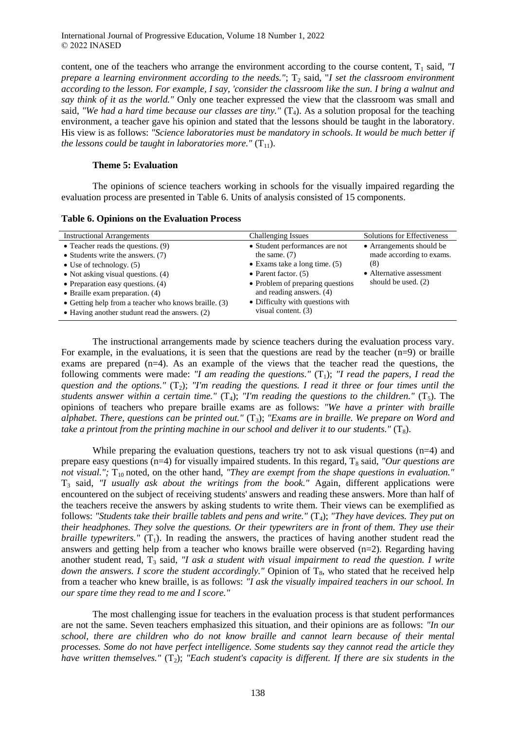content, one of the teachers who arrange the environment according to the course content,  $T_1$  said, *"I prepare a learning environment according to the needs."*;  $T_2$  said, "*I set the classroom environment according to the lesson. For example, I say, 'consider the classroom like the sun. I bring a walnut and say think of it as the world."* Only one teacher expressed the view that the classroom was small and said, *"We had a hard time because our classes are tiny."*  $(T_4)$ . As a solution proposal for the teaching environment, a teacher gave his opinion and stated that the lessons should be taught in the laboratory. His view is as follows: *"Science laboratories must be mandatory in schools. It would be much better if the lessons could be taught in laboratories more."*  $(T_{11})$ .

### **Theme 5: Evaluation**

The opinions of science teachers working in schools for the visually impaired regarding the evaluation process are presented in Table 6. Units of analysis consisted of 15 components.

| <b>Instructional Arrangements</b>                      | Challenging Issues                    | <b>Solutions for Effectiveness</b> |
|--------------------------------------------------------|---------------------------------------|------------------------------------|
| • Teacher reads the questions. $(9)$                   | • Student performances are not        | • Arrangements should be           |
| • Students write the answers. $(7)$                    | the same. $(7)$                       | made according to exams.           |
| • Use of technology. $(5)$                             | $\bullet$ Exams take a long time. (5) | (8)                                |
| • Not asking visual questions. $(4)$                   | • Parent factor. $(5)$                | • Alternative assessment           |
| • Preparation easy questions. $(4)$                    | • Problem of preparing questions      | should be used. $(2)$              |
| • Braille exam preparation. $(4)$                      | and reading answers. (4)              |                                    |
| • Getting help from a teacher who knows braille. (3)   | • Difficulty with questions with      |                                    |
| $\bullet$ Having another studunt read the answers. (2) | visual content. (3)                   |                                    |
|                                                        |                                       |                                    |

The instructional arrangements made by science teachers during the evaluation process vary. For example, in the evaluations, it is seen that the questions are read by the teacher (n=9) or braille exams are prepared (n=4). As an example of the views that the teacher read the questions, the following comments were made: *"I am reading the questions."* ( $T_1$ ); *"I read the papers, I read the* question and the options."  $(T_2)$ ; *"I'm reading the questions. I read it three or four times until the students answer within a certain time."*  $(T_4)$ ; "I'm reading the questions to the children."  $(T_5)$ . The opinions of teachers who prepare braille exams are as follows: *"We have a printer with braille alphabet. There, questions can be printed out."* (T3); *"Exams are in braille. We prepare on Word and take a printout from the printing machine in our school and deliver it to our students."* (T<sub>8</sub>).

While preparing the evaluation questions, teachers try not to ask visual questions  $(n=4)$  and prepare easy questions ( $n=4$ ) for visually impaired students. In this regard,  $T_8$  said, *"Our questions are not visual."*;  $T_{10}$  noted, on the other hand, *"They are exempt from the shape questions in evaluation."* T<sup>3</sup> said, *"I usually ask about the writings from the book."* Again, different applications were encountered on the subject of receiving students' answers and reading these answers. More than half of the teachers receive the answers by asking students to write them. Their views can be exemplified as follows: *"Students take their braille tablets and pens and write."* (T<sub>4</sub>); *"They have devices. They put on their headphones. They solve the questions. Or their typewriters are in front of them. They use their braille typewriters."* ( $T_1$ ). In reading the answers, the practices of having another student read the answers and getting help from a teacher who knows braille were observed (n=2). Regarding having another student read, T<sub>3</sub> said, *"I ask a student with visual impairment to read the question. I write down the answers. I score the student accordingly."* Opinion of T<sub>8</sub>, who stated that he received help from a teacher who knew braille, is as follows: *"I ask the visually impaired teachers in our school. In our spare time they read to me and I score."*

The most challenging issue for teachers in the evaluation process is that student performances are not the same. Seven teachers emphasized this situation, and their opinions are as follows: *"In our school, there are children who do not know braille and cannot learn because of their mental processes. Some do not have perfect intelligence. Some students say they cannot read the article they have written themselves."* (T<sub>2</sub>); *"Each student's capacity is different. If there are six students in the*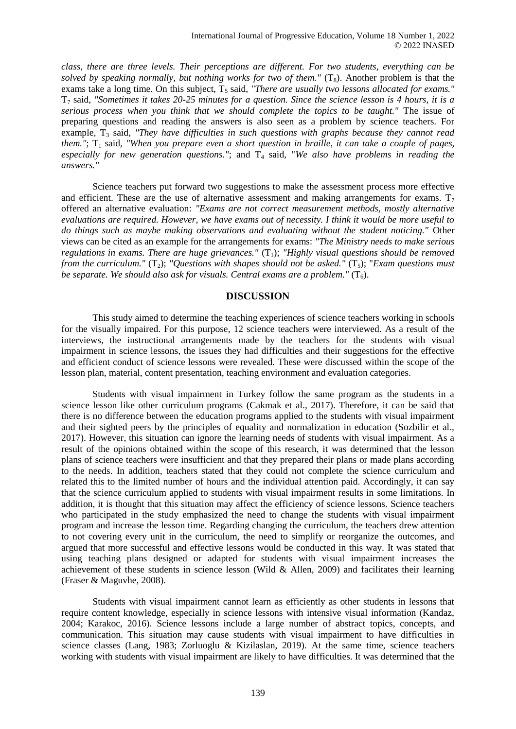*class, there are three levels. Their perceptions are different. For two students, everything can be*  solved by speaking normally, but nothing works for two of them." (T<sub>8</sub>). Another problem is that the exams take a long time. On this subject, T<sub>5</sub> said, "There are usually two lessons allocated for exams." T<sup>7</sup> said, *"Sometimes it takes 20-25 minutes for a question. Since the science lesson is 4 hours, it is a serious process when you think that we should complete the topics to be taught."* The issue of preparing questions and reading the answers is also seen as a problem by science teachers. For example, T<sub>3</sub> said, "They have difficulties in such questions with graphs because they cannot read *them."*;  $T_1$  said, *"When you prepare even a short question in braille, it can take a couple of pages,* especially for new generation questions."; and  $T_4$  said, "We also have problems in reading the *answers."*

Science teachers put forward two suggestions to make the assessment process more effective and efficient. These are the use of alternative assessment and making arrangements for exams.  $T_7$ offered an alternative evaluation: *"Exams are not correct measurement methods, mostly alternative evaluations are required. However, we have exams out of necessity. I think it would be more useful to do things such as maybe making observations and evaluating without the student noticing."* Other views can be cited as an example for the arrangements for exams: *"The Ministry needs to make serious regulations in exams. There are huge grievances."* (T<sub>1</sub>); "Highly visual questions should be removed *from the curriculum."* ( $T_2$ ); "Questions with shapes should not be asked." ( $T_5$ ); "Exam questions must *be separate. We should also ask for visuals. Central exams are a problem."*  $(T_6)$ .

## **DISCUSSION**

This study aimed to determine the teaching experiences of science teachers working in schools for the visually impaired. For this purpose, 12 science teachers were interviewed. As a result of the interviews, the instructional arrangements made by the teachers for the students with visual impairment in science lessons, the issues they had difficulties and their suggestions for the effective and efficient conduct of science lessons were revealed. These were discussed within the scope of the lesson plan, material, content presentation, teaching environment and evaluation categories.

Students with visual impairment in Turkey follow the same program as the students in a science lesson like other curriculum programs (Cakmak et al., 2017). Therefore, it can be said that there is no difference between the education programs applied to the students with visual impairment and their sighted peers by the principles of equality and normalization in education (Sozbilir et al., 2017). However, this situation can ignore the learning needs of students with visual impairment. As a result of the opinions obtained within the scope of this research, it was determined that the lesson plans of science teachers were insufficient and that they prepared their plans or made plans according to the needs. In addition, teachers stated that they could not complete the science curriculum and related this to the limited number of hours and the individual attention paid. Accordingly, it can say that the science curriculum applied to students with visual impairment results in some limitations. In addition, it is thought that this situation may affect the efficiency of science lessons. Science teachers who participated in the study emphasized the need to change the students with visual impairment program and increase the lesson time. Regarding changing the curriculum, the teachers drew attention to not covering every unit in the curriculum, the need to simplify or reorganize the outcomes, and argued that more successful and effective lessons would be conducted in this way. It was stated that using teaching plans designed or adapted for students with visual impairment increases the achievement of these students in science lesson (Wild & Allen, 2009) and facilitates their learning (Fraser & Maguvhe, 2008).

Students with visual impairment cannot learn as efficiently as other students in lessons that require content knowledge, especially in science lessons with intensive visual information (Kandaz, 2004; Karakoc, 2016). Science lessons include a large number of abstract topics, concepts, and communication. This situation may cause students with visual impairment to have difficulties in science classes (Lang, 1983; Zorluoglu & Kizilaslan, 2019). At the same time, science teachers working with students with visual impairment are likely to have difficulties. It was determined that the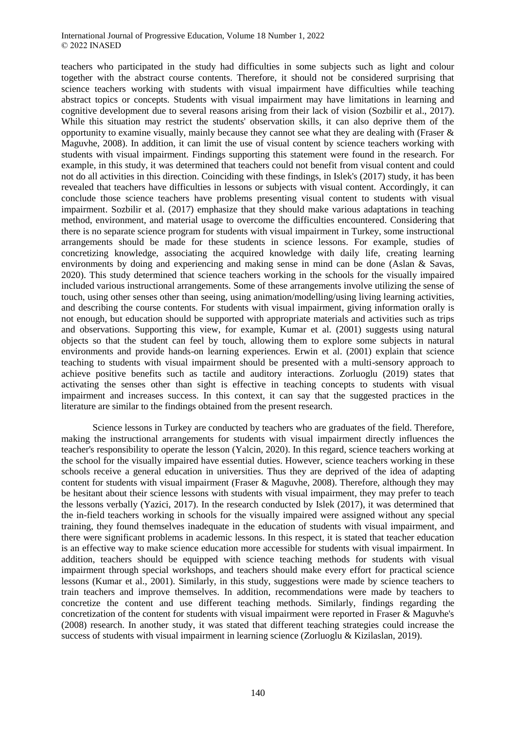teachers who participated in the study had difficulties in some subjects such as light and colour together with the abstract course contents. Therefore, it should not be considered surprising that science teachers working with students with visual impairment have difficulties while teaching abstract topics or concepts. Students with visual impairment may have limitations in learning and cognitive development due to several reasons arising from their lack of vision (Sozbilir et al., 2017). While this situation may restrict the students' observation skills, it can also deprive them of the opportunity to examine visually, mainly because they cannot see what they are dealing with (Fraser  $\&$ Maguvhe, 2008). In addition, it can limit the use of visual content by science teachers working with students with visual impairment. Findings supporting this statement were found in the research. For example, in this study, it was determined that teachers could not benefit from visual content and could not do all activities in this direction. Coinciding with these findings, in Islek's (2017) study, it has been revealed that teachers have difficulties in lessons or subjects with visual content. Accordingly, it can conclude those science teachers have problems presenting visual content to students with visual impairment. Sozbilir et al. (2017) emphasize that they should make various adaptations in teaching method, environment, and material usage to overcome the difficulties encountered. Considering that there is no separate science program for students with visual impairment in Turkey, some instructional arrangements should be made for these students in science lessons. For example, studies of concretizing knowledge, associating the acquired knowledge with daily life, creating learning environments by doing and experiencing and making sense in mind can be done (Aslan & Savas, 2020). This study determined that science teachers working in the schools for the visually impaired included various instructional arrangements. Some of these arrangements involve utilizing the sense of touch, using other senses other than seeing, using animation/modelling/using living learning activities, and describing the course contents. For students with visual impairment, giving information orally is not enough, but education should be supported with appropriate materials and activities such as trips and observations. Supporting this view, for example, Kumar et al. (2001) suggests using natural objects so that the student can feel by touch, allowing them to explore some subjects in natural environments and provide hands-on learning experiences. Erwin et al. (2001) explain that science teaching to students with visual impairment should be presented with a multi-sensory approach to achieve positive benefits such as tactile and auditory interactions. Zorluoglu (2019) states that activating the senses other than sight is effective in teaching concepts to students with visual impairment and increases success. In this context, it can say that the suggested practices in the literature are similar to the findings obtained from the present research.

Science lessons in Turkey are conducted by teachers who are graduates of the field. Therefore, making the instructional arrangements for students with visual impairment directly influences the teacher's responsibility to operate the lesson (Yalcin, 2020). In this regard, science teachers working at the school for the visually impaired have essential duties. However, science teachers working in these schools receive a general education in universities. Thus they are deprived of the idea of adapting content for students with visual impairment (Fraser & Maguvhe, 2008). Therefore, although they may be hesitant about their science lessons with students with visual impairment, they may prefer to teach the lessons verbally (Yazici, 2017). In the research conducted by Islek (2017), it was determined that the in-field teachers working in schools for the visually impaired were assigned without any special training, they found themselves inadequate in the education of students with visual impairment, and there were significant problems in academic lessons. In this respect, it is stated that teacher education is an effective way to make science education more accessible for students with visual impairment. In addition, teachers should be equipped with science teaching methods for students with visual impairment through special workshops, and teachers should make every effort for practical science lessons (Kumar et al., 2001). Similarly, in this study, suggestions were made by science teachers to train teachers and improve themselves. In addition, recommendations were made by teachers to concretize the content and use different teaching methods. Similarly, findings regarding the concretization of the content for students with visual impairment were reported in Fraser & Maguvhe's (2008) research. In another study, it was stated that different teaching strategies could increase the success of students with visual impairment in learning science (Zorluoglu & Kizilaslan, 2019).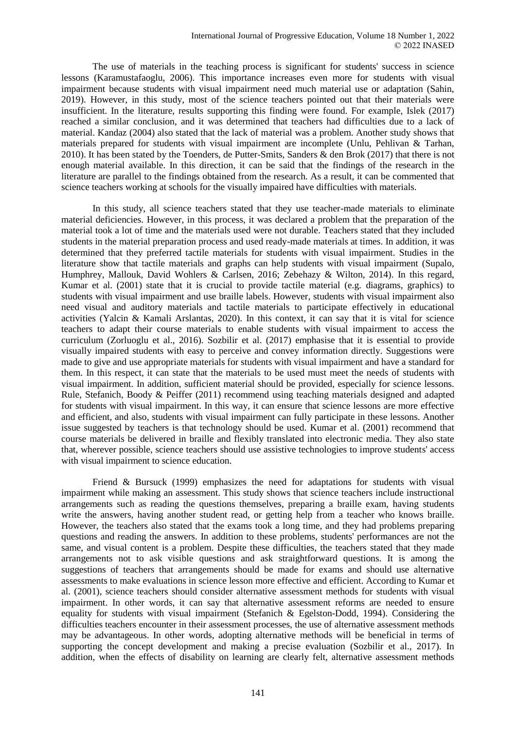The use of materials in the teaching process is significant for students' success in science lessons (Karamustafaoglu, 2006). This importance increases even more for students with visual impairment because students with visual impairment need much material use or adaptation (Sahin, 2019). However, in this study, most of the science teachers pointed out that their materials were insufficient. In the literature, results supporting this finding were found. For example, Islek (2017) reached a similar conclusion, and it was determined that teachers had difficulties due to a lack of material. Kandaz (2004) also stated that the lack of material was a problem. Another study shows that materials prepared for students with visual impairment are incomplete (Unlu, Pehlivan & Tarhan, 2010). It has been stated by the Toenders, de Putter-Smits, Sanders & den Brok (2017) that there is not enough material available. In this direction, it can be said that the findings of the research in the literature are parallel to the findings obtained from the research. As a result, it can be commented that science teachers working at schools for the visually impaired have difficulties with materials.

In this study, all science teachers stated that they use teacher-made materials to eliminate material deficiencies. However, in this process, it was declared a problem that the preparation of the material took a lot of time and the materials used were not durable. Teachers stated that they included students in the material preparation process and used ready-made materials at times. In addition, it was determined that they preferred tactile materials for students with visual impairment. Studies in the literature show that tactile materials and graphs can help students with visual impairment (Supalo, Humphrey, Mallouk, David Wohlers & Carlsen, 2016; Zebehazy & Wilton, 2014). In this regard, Kumar et al. (2001) state that it is crucial to provide tactile material (e.g. diagrams, graphics) to students with visual impairment and use braille labels. However, students with visual impairment also need visual and auditory materials and tactile materials to participate effectively in educational activities (Yalcin & Kamali Arslantas, 2020). In this context, it can say that it is vital for science teachers to adapt their course materials to enable students with visual impairment to access the curriculum (Zorluoglu et al., 2016). Sozbilir et al. (2017) emphasise that it is essential to provide visually impaired students with easy to perceive and convey information directly. Suggestions were made to give and use appropriate materials for students with visual impairment and have a standard for them. In this respect, it can state that the materials to be used must meet the needs of students with visual impairment. In addition, sufficient material should be provided, especially for science lessons. Rule, Stefanich, Boody & Peiffer (2011) recommend using teaching materials designed and adapted for students with visual impairment. In this way, it can ensure that science lessons are more effective and efficient, and also, students with visual impairment can fully participate in these lessons. Another issue suggested by teachers is that technology should be used. Kumar et al. (2001) recommend that course materials be delivered in braille and flexibly translated into electronic media. They also state that, wherever possible, science teachers should use assistive technologies to improve students' access with visual impairment to science education.

Friend & Bursuck (1999) emphasizes the need for adaptations for students with visual impairment while making an assessment. This study shows that science teachers include instructional arrangements such as reading the questions themselves, preparing a braille exam, having students write the answers, having another student read, or getting help from a teacher who knows braille. However, the teachers also stated that the exams took a long time, and they had problems preparing questions and reading the answers. In addition to these problems, students' performances are not the same, and visual content is a problem. Despite these difficulties, the teachers stated that they made arrangements not to ask visible questions and ask straightforward questions. It is among the suggestions of teachers that arrangements should be made for exams and should use alternative assessments to make evaluations in science lesson more effective and efficient. According to Kumar et al. (2001), science teachers should consider alternative assessment methods for students with visual impairment. In other words, it can say that alternative assessment reforms are needed to ensure equality for students with visual impairment (Stefanich & Egelston-Dodd, 1994). Considering the difficulties teachers encounter in their assessment processes, the use of alternative assessment methods may be advantageous. In other words, adopting alternative methods will be beneficial in terms of supporting the concept development and making a precise evaluation (Sozbilir et al., 2017). In addition, when the effects of disability on learning are clearly felt, alternative assessment methods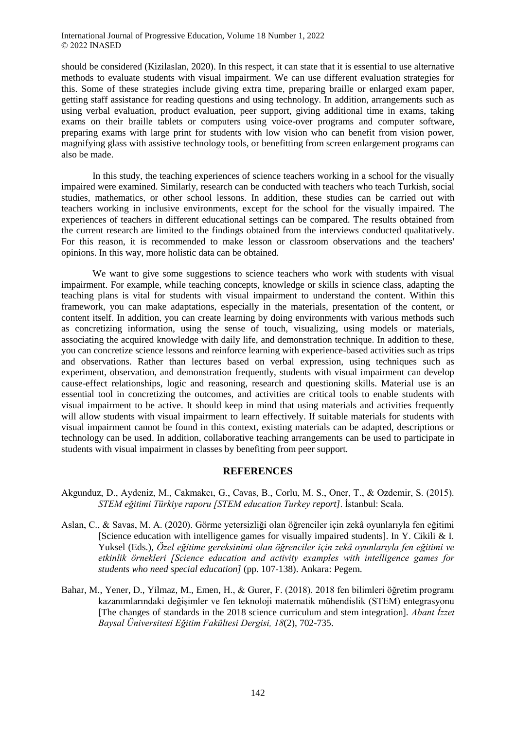should be considered (Kizilaslan, 2020). In this respect, it can state that it is essential to use alternative methods to evaluate students with visual impairment. We can use different evaluation strategies for this. Some of these strategies include giving extra time, preparing braille or enlarged exam paper, getting staff assistance for reading questions and using technology. In addition, arrangements such as using verbal evaluation, product evaluation, peer support, giving additional time in exams, taking exams on their braille tablets or computers using voice-over programs and computer software, preparing exams with large print for students with low vision who can benefit from vision power, magnifying glass with assistive technology tools, or benefitting from screen enlargement programs can also be made.

In this study, the teaching experiences of science teachers working in a school for the visually impaired were examined. Similarly, research can be conducted with teachers who teach Turkish, social studies, mathematics, or other school lessons. In addition, these studies can be carried out with teachers working in inclusive environments, except for the school for the visually impaired. The experiences of teachers in different educational settings can be compared. The results obtained from the current research are limited to the findings obtained from the interviews conducted qualitatively. For this reason, it is recommended to make lesson or classroom observations and the teachers' opinions. In this way, more holistic data can be obtained.

We want to give some suggestions to science teachers who work with students with visual impairment. For example, while teaching concepts, knowledge or skills in science class, adapting the teaching plans is vital for students with visual impairment to understand the content. Within this framework, you can make adaptations, especially in the materials, presentation of the content, or content itself. In addition, you can create learning by doing environments with various methods such as concretizing information, using the sense of touch, visualizing, using models or materials, associating the acquired knowledge with daily life, and demonstration technique. In addition to these, you can concretize science lessons and reinforce learning with experience-based activities such as trips and observations. Rather than lectures based on verbal expression, using techniques such as experiment, observation, and demonstration frequently, students with visual impairment can develop cause-effect relationships, logic and reasoning, research and questioning skills. Material use is an essential tool in concretizing the outcomes, and activities are critical tools to enable students with visual impairment to be active. It should keep in mind that using materials and activities frequently will allow students with visual impairment to learn effectively. If suitable materials for students with visual impairment cannot be found in this context, existing materials can be adapted, descriptions or technology can be used. In addition, collaborative teaching arrangements can be used to participate in students with visual impairment in classes by benefiting from peer support.

### **REFERENCES**

- Akgunduz, D., Aydeniz, M., Cakmakcı, G., Cavas, B., Corlu, M. S., Oner, T., & Ozdemir, S. (2015). *STEM eğitimi Türkiye raporu [STEM education Turkey report]*. İstanbul: Scala.
- Aslan, C., & Savas, M. A. (2020). Görme yetersizliği olan öğrenciler için zekâ oyunlarıyla fen eğitimi [Science education with intelligence games for visually impaired students]. In Y. Cikili & I. Yuksel (Eds.), *Özel eğitime gereksinimi olan öğrenciler için zekâ oyunlarıyla fen eğitimi ve etkinlik örnekleri [Science education and activity examples with intelligence games for students who need special education]* (pp. 107-138). Ankara: Pegem.
- Bahar, M., Yener, D., Yilmaz, M., Emen, H., & Gurer, F. (2018). 2018 fen bilimleri öğretim programı kazanımlarındaki değişimler ve fen teknoloji matematik mühendislik (STEM) entegrasyonu [The changes of standards in the 2018 science curriculum and stem integration]. *Abant İzzet Baysal Üniversitesi Eğitim Fakültesi Dergisi, 18*(2), 702-735.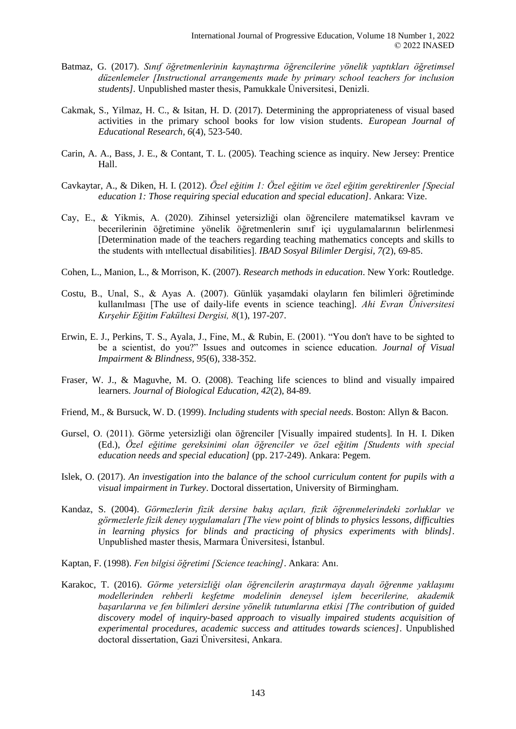- Batmaz, G. (2017). *Sınıf öğretmenlerinin kaynaştırma öğrencilerine yönelik yaptıkları öğretimsel düzenlemeler [Instructional arrangements made by primary school teachers for inclusion students].* Unpublished master thesis, Pamukkale Üniversitesi, Denizli.
- Cakmak, S., Yilmaz, H. C., & Isitan, H. D. (2017). Determining the appropriateness of visual based activities in the primary school books for low vision students. *European Journal of Educational Research, 6*(4), 523-540.
- Carin, A. A., Bass, J. E., & Contant, T. L. (2005). Teaching science as inquiry. New Jersey: Prentice Hall.
- Cavkaytar, A., & Diken, H. I. (2012). *Özel eğitim 1: Özel eğitim ve özel eğitim gerektirenler [Special education 1: Those requiring special education and special education]*. Ankara: Vize.
- Cay, E., & Yikmis, A. (2020). Zihinsel yetersizliği olan öğrencilere matematiksel kavram ve becerilerinin öğretimine yönelik öğretmenlerin sınıf içi uygulamalarının belirlenmesi [Determination made of the teachers regarding teaching mathematics concepts and skills to the students with ıntellectual disabilities]. *IBAD Sosyal Bilimler Dergisi, 7(*2), 69-85.
- Cohen, L., Manion, L., & Morrison, K. (2007). *Research methods in education*. New York: Routledge.
- Costu, B., Unal, S., & Ayas A. (2007). Günlük yaşamdaki olayların fen bilimleri öğretiminde kullanılması [The use of daily-life events in science teaching]. *Ahi Evran Üniversitesi Kırşehir Eğitim Fakültesi Dergisi, 8*(1), 197-207.
- Erwin, E. J., Perkins, T. S., Ayala, J., Fine, M., & Rubin, E. (2001). "You don't have to be sighted to be a scientist, do you?" Issues and outcomes in science education. *Journal of Visual Impairment & Blindness, 95*(6), 338-352.
- Fraser, W. J., & Maguvhe, M. O. (2008). Teaching life sciences to blind and visually impaired learners. *Journal of Biological Education, 42*(2), 84-89.
- Friend, M., & Bursuck, W. D. (1999). *Including students with special needs*. Boston: Allyn & Bacon.
- Gursel, O. (2011). Görme yetersizliği olan öğrenciler [Visually impaired students]. In H. I. Diken (Ed.), *Özel eğitime gereksinimi olan öğrenciler ve özel eğitim [Students with special education needs and special education]* (pp. 217-249). Ankara: Pegem.
- Islek, O. (2017). *An investigation into the balance of the school curriculum content for pupils with a visual impairment in Turkey*. Doctoral dissertation, University of Birmingham.
- Kandaz, S. (2004). *Görmezlerin fizik dersine bakış açıları, fizik öğrenmelerindeki zorluklar ve görmezlerle fizik deney uygulamaları [The view point of blinds to physics lessons, difficulties in learning physics for blinds and practicing of physics experiments with blinds]*. Unpublished master thesis, Marmara Üniversitesi, İstanbul.
- Kaptan, F. (1998). *Fen bilgisi öğretimi [Science teaching]*. Ankara: Anı.
- Karakoc, T. (2016). *Görme yetersizliği olan öğrencilerin araştırmaya dayalı öğrenme yaklaşımı modellerinden rehberli keşfetme modelinin deneysel işlem becerilerine, akademik başarılarına ve fen bilimleri dersine yönelik tutumlarına etkisi [The contribution of guided discovery model of inquiry-based approach to visually impaired students acquisition of experimental procedures, academic success and attitudes towards sciences]*. Unpublished doctoral dissertation, Gazi Üniversitesi, Ankara.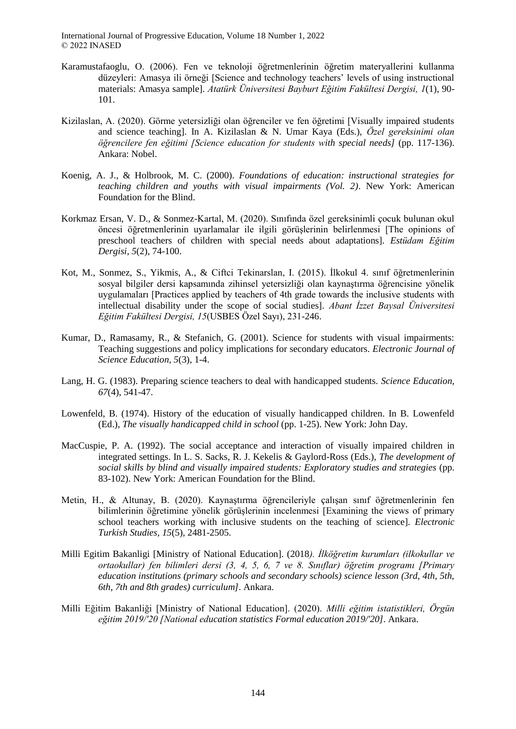- Karamustafaoglu, O. (2006). Fen ve teknoloji öğretmenlerinin öğretim materyallerini kullanma düzeyleri: Amasya ili örneği [Science and technology teachers' levels of using instructional materials: Amasya sample]. *Atatürk Üniversitesi Bayburt Eğitim Fakültesi Dergisi, 1*(1), 90- 101.
- Kizilaslan, A. (2020). Görme yetersizliği olan öğrenciler ve fen öğretimi [Visually impaired students and science teaching]. In A. Kizilaslan & N. Umar Kaya (Eds.), *Özel gereksinimi olan öğrencilere fen eğitimi [Science education for students with special needs]* (pp. 117-136). Ankara: Nobel.
- Koenig, A. J., & Holbrook, M. C. (2000). *Foundations of education: instructional strategies for teaching children and youths with visual impairments (Vol. 2)*. New York: American Foundation for the Blind.
- Korkmaz Ersan, V. D., & Sonmez-Kartal, M. (2020). Sınıfında özel gereksinimli çocuk bulunan okul öncesi öğretmenlerinin uyarlamalar ile ilgili görüşlerinin belirlenmesi [The opinions of preschool teachers of children with special needs about adaptations]. *Estüdam Eğitim Dergisi, 5*(2), 74-100.
- Kot, M., Sonmez, S., Yikmis, A., & Ciftci Tekinarslan, I. (2015). İlkokul 4. sınıf öğretmenlerinin sosyal bilgiler dersi kapsamında zihinsel yetersizliği olan kaynaştırma öğrencisine yönelik uygulamaları [Practices applied by teachers of 4th grade towards the inclusive students with intellectual disability under the scope of social studies]. *Abant İzzet Baysal Üniversitesi Eğitim Fakültesi Dergisi, 15*(USBES Özel Sayı), 231-246.
- Kumar, D., Ramasamy, R., & Stefanich, G. (2001). Science for students with visual impairments: Teaching suggestions and policy implications for secondary educators. *Electronic Journal of Science Education, 5*(3), 1-4.
- Lang, H. G. (1983). Preparing science teachers to deal with handicapped students. *Science Education, 67*(4), 541-47.
- Lowenfeld, B. (1974). History of the education of visually handicapped children. In B. Lowenfeld (Ed.), *The visually handicapped child in school* (pp. 1-25). New York: John Day.
- MacCuspie, P. A. (1992). The social acceptance and interaction of visually impaired children in integrated settings. In L. S. Sacks, R. J. Kekelis & Gaylord-Ross (Eds.), *The development of social skills by blind and visually impaired students: Exploratory studies and strategies* (pp. 83-102). New York: American Foundation for the Blind.
- Metin, H., & Altunay, B. (2020). Kaynaştırma öğrencileriyle çalışan sınıf öğretmenlerinin fen bilimlerinin öğretimine yönelik görüşlerinin incelenmesi [Examining the views of primary school teachers working with inclusive students on the teaching of science]. *Electronic Turkish Studies, 15*(5), 2481-2505.
- Milli Egitim Bakanligi [Ministry of National Education]. (2018*). İlköğretim kurumları (ilkokullar ve ortaokullar) fen bilimleri dersi (3, 4, 5, 6, 7 ve 8. Sınıflar) öğretim programı [Primary education institutions (primary schools and secondary schools) science lesson (3rd, 4th, 5th, 6th, 7th and 8th grades) curriculum]*. Ankara.
- Milli Eğitim Bakanliği [Ministry of National Education]. (2020). *Milli eğitim istatistikleri, Örgün eğitim 2019/'20 [National education statistics Formal education 2019/'20]*. Ankara.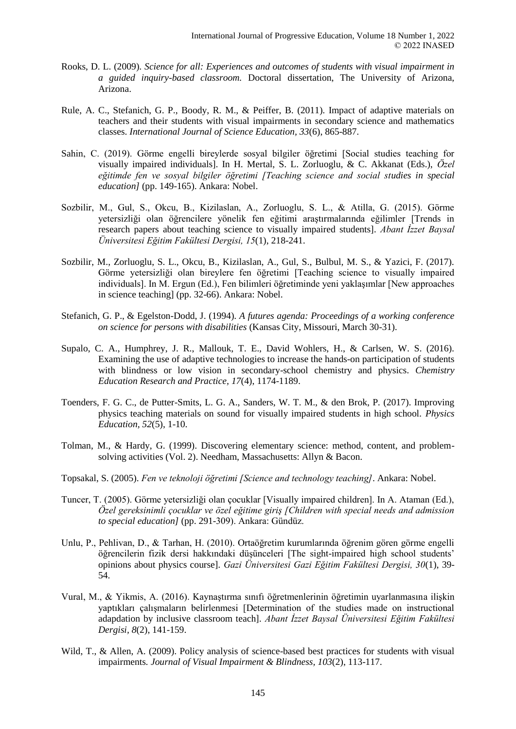- Rooks, D. L. (2009). *Science for all: Experiences and outcomes of students with visual impairment in a guided inquiry-based classroom.* Doctoral dissertation, The University of Arizona, Arizona.
- Rule, A. C., Stefanich, G. P., Boody, R. M., & Peiffer, B. (2011). Impact of adaptive materials on teachers and their students with visual impairments in secondary science and mathematics classes. *International Journal of Science Education, 33*(6), 865-887.
- Sahin, C. (2019). Görme engelli bireylerde sosyal bilgiler öğretimi [Social studies teaching for visually impaired individuals]. In H. Mertal, S. L. Zorluoglu, & C. Akkanat (Eds.), *Özel eğitimde fen ve sosyal bilgiler öğretimi [Teaching science and social studies in special education]* (pp. 149-165). Ankara: Nobel.
- Sozbilir, M., Gul, S., Okcu, B., Kizilaslan, A., Zorluoglu, S. L., & Atilla, G. (2015). Görme yetersizliği olan öğrencilere yönelik fen eğitimi araştırmalarında eğilimler [Trends in research papers about teaching science to visually impaired students]. *Abant İzzet Baysal Üniversitesi Eğitim Fakültesi Dergisi, 15*(1), 218-241.
- Sozbilir, M., Zorluoglu, S. L., Okcu, B., Kizilaslan, A., Gul, S., Bulbul, M. S., & Yazici, F. (2017). Görme yetersizliği olan bireylere fen öğretimi [Teaching science to visually impaired individuals]. In M. Ergun (Ed.), Fen bilimleri öğretiminde yeni yaklaşımlar [New approaches in science teaching] (pp. 32-66). Ankara: Nobel.
- Stefanich, G. P., & Egelston-Dodd, J. (1994). *A futures agenda: Proceedings of a working conference on science for persons with disabilities* (Kansas City, Missouri, March 30-31).
- Supalo, C. A., Humphrey, J. R., Mallouk, T. E., David Wohlers, H., & Carlsen, W. S. (2016). Examining the use of adaptive technologies to increase the hands-on participation of students with blindness or low vision in secondary-school chemistry and physics. *Chemistry Education Research and Practice, 17*(4), 1174-1189.
- Toenders, F. G. C., de Putter-Smits, L. G. A., Sanders, W. T. M., & den Brok, P. (2017). Improving physics teaching materials on sound for visually impaired students in high school. *Physics Education, 52*(5), 1-10.
- Tolman, M., & Hardy, G. (1999). Discovering elementary science: method, content, and problemsolving activities (Vol. 2). Needham, Massachusetts: Allyn & Bacon.
- Topsakal, S. (2005). *Fen ve teknoloji öğretimi [Science and technology teaching]*. Ankara: Nobel.
- Tuncer, T. (2005). Görme yetersizliği olan çocuklar [Visually impaired children]. In A. Ataman (Ed.), *Özel gereksinimli çocuklar ve özel eğitime giriş [Children with special needs and admission to special education]* (pp. 291-309). Ankara: Gündüz.
- Unlu, P., Pehlivan, D., & Tarhan, H. (2010). Ortaöğretim kurumlarında öğrenim gören görme engelli öğrencilerin fizik dersi hakkındaki düşünceleri [The sight-impaired high school students' opinions about physics course]. *Gazi Üniversitesi Gazi Eğitim Fakültesi Dergisi, 30*(1), 39- 54.
- Vural, M., & Yikmis, A. (2016). Kaynaştırma sınıfı öğretmenlerinin öğretimin uyarlanmasına ilişkin yaptıkları çalışmaların belirlenmesi [Determination of the studies made on instructional adapdation by inclusive classroom teach]. *Abant İzzet Baysal Üniversitesi Eğitim Fakültesi Dergisi, 8*(2), 141-159.
- Wild, T., & Allen, A. (2009). Policy analysis of science-based best practices for students with visual impairments*. Journal of Visual Impairment & Blindness, 103*(2), 113-117.